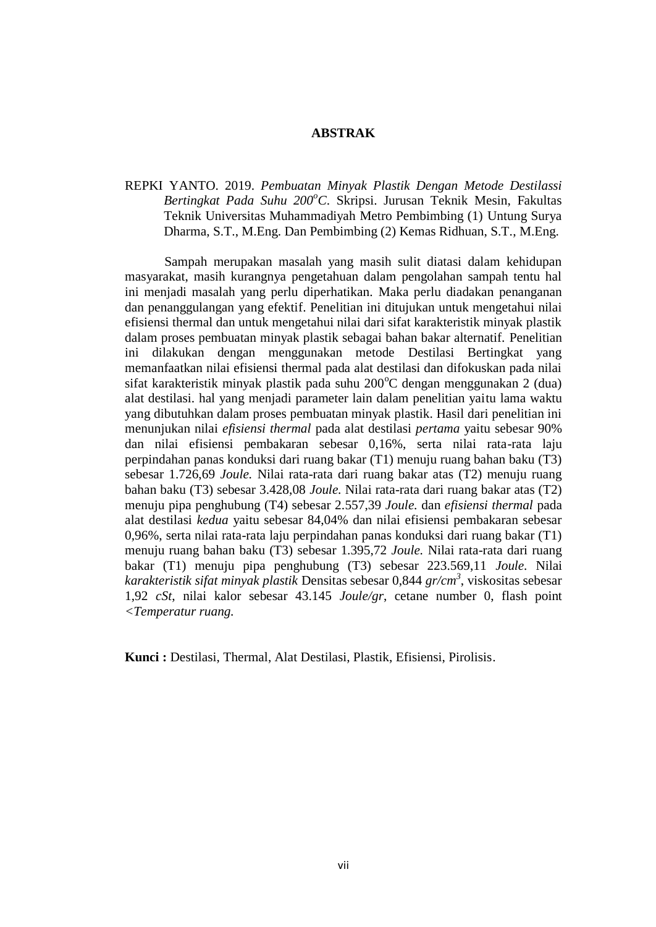## **ABSTRAK**

REPKI YANTO. 2019. *Pembuatan Minyak Plastik Dengan Metode Destilassi Bertingkat Pada Suhu 200<sup>o</sup>C*. Skripsi. Jurusan Teknik Mesin, Fakultas Teknik Universitas Muhammadiyah Metro Pembimbing (1) Untung Surya Dharma, S.T., M.Eng. Dan Pembimbing (2) Kemas Ridhuan, S.T., M.Eng.

Sampah merupakan masalah yang masih sulit diatasi dalam kehidupan masyarakat, masih kurangnya pengetahuan dalam pengolahan sampah tentu hal ini menjadi masalah yang perlu diperhatikan. Maka perlu diadakan penanganan dan penanggulangan yang efektif. Penelitian ini ditujukan untuk mengetahui nilai efisiensi thermal dan untuk mengetahui nilai dari sifat karakteristik minyak plastik dalam proses pembuatan minyak plastik sebagai bahan bakar alternatif. Penelitian ini dilakukan dengan menggunakan metode Destilasi Bertingkat yang memanfaatkan nilai efisiensi thermal pada alat destilasi dan difokuskan pada nilai sifat karakteristik minyak plastik pada suhu  $200^{\circ}$ C dengan menggunakan 2 (dua) alat destilasi. hal yang menjadi parameter lain dalam penelitian yaitu lama waktu yang dibutuhkan dalam proses pembuatan minyak plastik. Hasil dari penelitian ini menunjukan nilai *efisiensi thermal* pada alat destilasi *pertama* yaitu sebesar 90% dan nilai efisiensi pembakaran sebesar 0,16%, serta nilai rata-rata laju perpindahan panas konduksi dari ruang bakar (T1) menuju ruang bahan baku (T3) sebesar 1.726,69 *Joule.* Nilai rata-rata dari ruang bakar atas (T2) menuju ruang bahan baku (T3) sebesar 3.428,08 *Joule.* Nilai rata-rata dari ruang bakar atas (T2) menuju pipa penghubung (T4) sebesar 2.557,39 *Joule.* dan *efisiensi thermal* pada alat destilasi *kedua* yaitu sebesar 84,04% dan nilai efisiensi pembakaran sebesar 0,96%, serta nilai rata-rata laju perpindahan panas konduksi dari ruang bakar (T1) menuju ruang bahan baku (T3) sebesar 1.395,72 *Joule.* Nilai rata-rata dari ruang bakar (T1) menuju pipa penghubung (T3) sebesar 223.569,11 *Joule.* Nilai *karakteristik sifat minyak plastik* Densitas sebesar 0,844 *gr/cm<sup>3</sup>* , viskositas sebesar 1,92 *cSt*, nilai kalor sebesar 43.145 *Joule/gr*, cetane number 0, flash point *<Temperatur ruang.*

**Kunci :** Destilasi, Thermal, Alat Destilasi, Plastik, Efisiensi, Pirolisis.